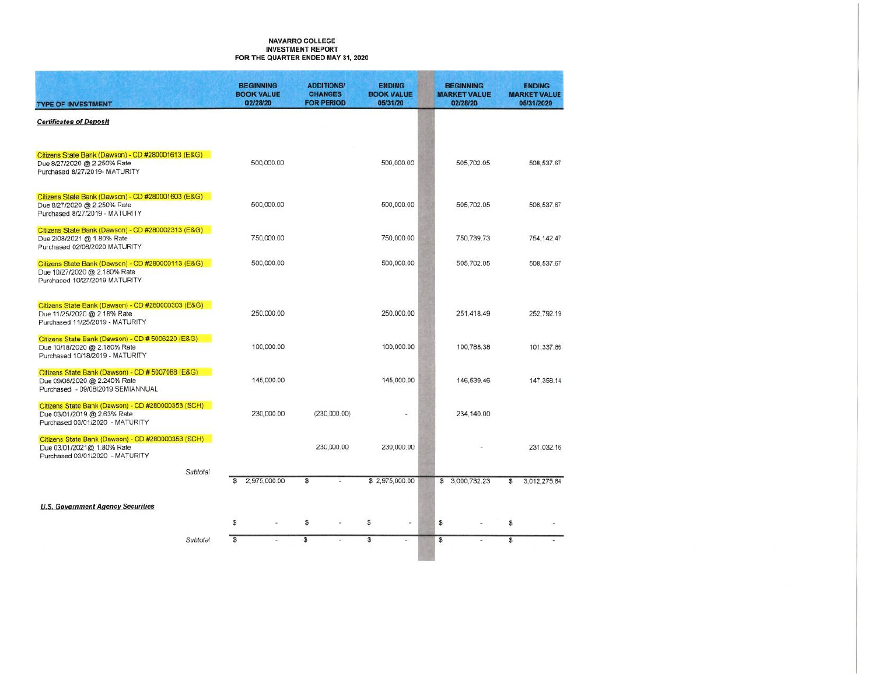#### **NAVARRO COLLEGE INVESTMENT REPORT** FOR THE QUARTER ENDED MAY 31, 2020

| <b>TYPE OF INVESTMENT</b>                                                                                              | <b>BEGINNING</b><br><b>BOOK VALUE</b><br>02/28/20 |    | <b>ADDITIONS/</b><br><b>CHANGES</b><br><b>FOR PERIOD</b> | <b>ENDING</b><br><b>BOOK VALUE</b><br>05/31/20 |        | <b>BEGINNING</b><br><b>MARKET VALUE</b><br>02/28/20 |                         | <b>ENDING</b><br><b>MARKET VALUE</b><br>05/31/2020 |
|------------------------------------------------------------------------------------------------------------------------|---------------------------------------------------|----|----------------------------------------------------------|------------------------------------------------|--------|-----------------------------------------------------|-------------------------|----------------------------------------------------|
| <b>Certificates of Deposit</b>                                                                                         |                                                   |    |                                                          |                                                |        |                                                     |                         |                                                    |
| Citizens State Bank (Dawson) - CD #280001613 (E&G)<br>Due 8/27/2020 @ 2.250% Rate<br>Purchased 8/27/2019- MATURITY     | 500,000.00                                        |    |                                                          | 500,000.00                                     |        | 505,702.05                                          |                         | 508.537.67                                         |
| Citizens State Bank (Dawson) - CD #280001603 (E&G)<br>Due 8/27/2020 @ 2.250% Rate<br>Purchased 8/27/2019 - MATURITY    | 500,000.00                                        |    |                                                          | 500,000.00                                     |        | 505,702.05                                          |                         | 508,537.67                                         |
| Citizens State Bank (Dawson) - CD #280002313 (E&G)<br>Due 2/08/2021 @ 1.80% Rate<br>Purchased 02/08/2020 MATURITY      | 750,000.00                                        |    |                                                          | 750,000.00                                     |        | 750,739.73                                          |                         | 754, 142.47                                        |
| Citizens State Bank (Dawson) - CD #280000113 (E&G)<br>Due 10/27/2020 @ 2.180% Rate<br>Purchased 10/27/2019 MATURITY    | 500,000.00                                        |    |                                                          | 500,000.00                                     |        | 505,702.05                                          |                         | 508,537.67                                         |
| Citizens State Bank (Dawson) - CD #280000303 (E&G)<br>Due 11/25/2020 @ 2.18% Rate<br>Purchased 11/25/2019 - MATURITY   | 250,000.00                                        |    |                                                          | 250,000.00                                     |        | 251,418.49                                          |                         | 252,792.19                                         |
| Citizens State Bank (Dawson) - CD # 5006220 (E&G)<br>Due 10/18/2020 @ 2.180% Rate<br>Purchased 10/18/2019 - MATURITY   | 100,000.00                                        |    |                                                          | 100,000.00                                     |        | 100,788.38                                          |                         | 101,337.86                                         |
| Citizens State Bank (Dawson) - CD # 5007088 (E&G)<br>Due 09/08/2020 @ 2.240% Rate<br>Purchased - 09/08/2019 SEMIANNUAL | 145,000.00                                        |    |                                                          | 145,000.00                                     |        | 146,539.46                                          |                         | 147.358.14                                         |
| Citizens State Bank (Dawson) - CD #280000353 (SCH)<br>Due 03/01/2019 @ 2.63% Rate<br>Purchased 03/01/2020 - MATURITY   | 230,000.00                                        |    | (230,000.00)                                             |                                                | i.     | 234,140.00                                          |                         |                                                    |
| Citizens State Bank (Dawson) - CD #280000353 (SCH)<br>Due 03/01/2021@ 1.80% Rate<br>Purchased 03/01/2020 - MATURITY    |                                                   |    | 230,000.00                                               | 230,000.00                                     |        |                                                     |                         | 231,032.16                                         |
| Subtotal                                                                                                               | 2,975,000.00<br>\$                                | s. | ο                                                        | \$2,975,000.00                                 |        | \$ 3,000,732.23                                     | $\overline{\mathbb{S}}$ | 3,012,275.84                                       |
| <b>U.S. Government Agency Securities</b>                                                                               |                                                   |    |                                                          |                                                |        |                                                     |                         |                                                    |
|                                                                                                                        | \$<br>ä,                                          | s  |                                                          | \$                                             | $\sim$ | \$                                                  | \$                      |                                                    |
| Subtotal                                                                                                               | $\overline{\mathbf{s}}$                           | \$ |                                                          | s                                              | ÷.     | \$                                                  | $\overline{\mathbb{S}}$ |                                                    |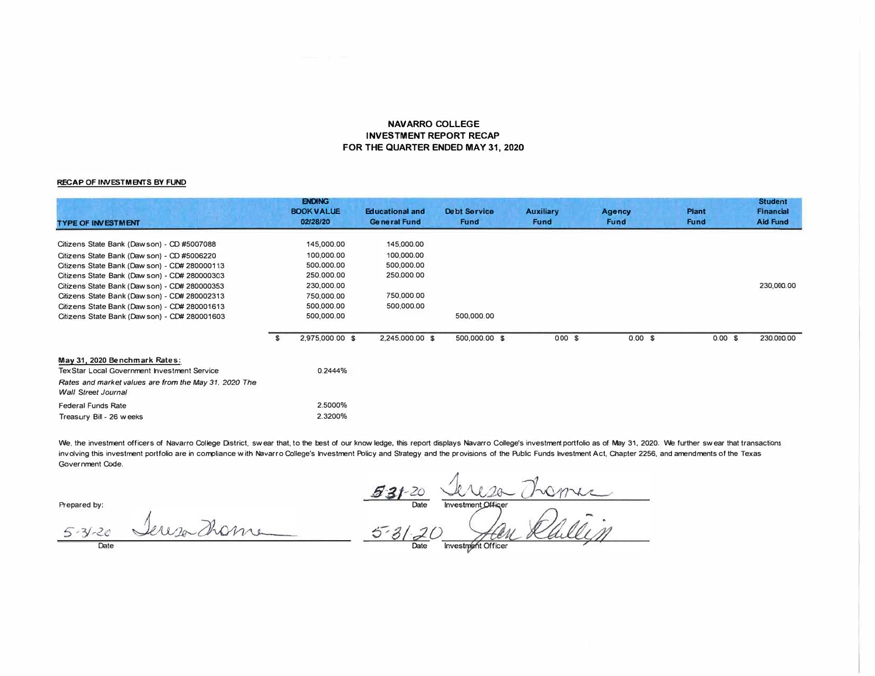### **NAVARRO COLLEGE INVESTMENT REPORT RECAP FOR THE QUARTER ENDED MAY 31, 2020**

#### **RECAP OF INVESTMENTS BY FUND**

| <b>TYPE OF INVESTMENT</b>                             |   | <b>ENDING</b><br><b>BOOK VALUE</b><br>02/28/20 | <b>Educational and</b><br><b>General Fund</b> | <b>Debt Service</b><br><b>Fund</b> | <b>Auxiliary</b><br><b>Fund</b> | <b>Agency</b><br><b>Fund</b> | <b>Plant</b><br><b>Fund</b> |        | <b>Student</b><br><b>Financial</b><br><b>Aid Fund</b> |
|-------------------------------------------------------|---|------------------------------------------------|-----------------------------------------------|------------------------------------|---------------------------------|------------------------------|-----------------------------|--------|-------------------------------------------------------|
| Citizens State Bank (Dawson) - CD #5007088            |   | 145,000.00                                     | 145,000.00                                    |                                    |                                 |                              |                             |        |                                                       |
|                                                       |   |                                                |                                               |                                    |                                 |                              |                             |        |                                                       |
| Citizens State Bank (Daw son) - CD #5006220           |   | 100,000.00                                     | 100,000,00                                    |                                    |                                 |                              |                             |        |                                                       |
| Citizens State Bank (Daw son) - CD# 280000113         |   | 500,000.00                                     | 500,000,00                                    |                                    |                                 |                              |                             |        |                                                       |
| Citizens State Bank (Daw son) - CD# 280000303         |   | 250,000.00                                     | 250,000.00                                    |                                    |                                 |                              |                             |        |                                                       |
| Citizens State Bank (Dawson) - CD# 280000353          |   | 230,000.00                                     |                                               |                                    |                                 |                              |                             |        | 230,000.00                                            |
| Citizens State Bank (Dawson) - CD# 280002313          |   | 750,000.00                                     | 750,000.00                                    |                                    |                                 |                              |                             |        |                                                       |
| Citizens State Bank (Dawson) - CD# 280001613          |   | 500,000.00                                     | 500,000.00                                    |                                    |                                 |                              |                             |        |                                                       |
| Citizens State Bank (Daw son) - CD# 280001603         |   | 500,000.00                                     |                                               | 500,000.00                         |                                 |                              |                             |        |                                                       |
|                                                       | S | 2,975,000.00 \$                                | 2,245,000.00 \$                               | 500,000.00 \$                      | 0.00 S                          | 0.00 S                       |                             | 0.00 S | 230,000.00                                            |
| May 31, 2020 Benchmark Rates:                         |   |                                                |                                               |                                    |                                 |                              |                             |        |                                                       |
| TexStar Local Government Investment Service           |   | 0.2444%                                        |                                               |                                    |                                 |                              |                             |        |                                                       |
| Rates and market values are from the May 31, 2020 The |   |                                                |                                               |                                    |                                 |                              |                             |        |                                                       |
| <b>Wall Street Journal</b>                            |   |                                                |                                               |                                    |                                 |                              |                             |        |                                                       |
| <b>Federal Funds Rate</b>                             |   | 2.5000%                                        |                                               |                                    |                                 |                              |                             |        |                                                       |
| Treasury Bill - 26 weeks                              |   | 2.3200%                                        |                                               |                                    |                                 |                              |                             |        |                                                       |

We, the investment officers of Navarro College District, swear that, to the best of our know ledge, this report displays Navarro College's investment portfolio as of May 31, 2020. We further swear that transactions involving this investment portfolio are in compliance with Navarro College's Investment Policy and Strategy and the provisions of the Public Funds Investment Act, Chapter 2256, and amendments of the Texas **Government Code.** 

**Prepared by:** 

les France  $\frac{53/20}{\frac{3}{\frac{6}{2}}}\frac{20}{\frac{6}{\frac{6}{2}}\frac{100}{\frac{6}{2}}\frac{100}{\frac{6}{2}}\frac{100}{\frac{6}{2}}\frac{100}{\frac{6}{2}}\frac{100}{\frac{6}{2}}\frac{100}{\frac{6}{2}}\frac{100}{\frac{6}{2}}\frac{100}{\frac{6}{2}}\frac{100}{\frac{6}{2}}\frac{100}{\frac{6}{2}}\frac{100}{\frac{6}{2}}\frac{100}{\frac{6}{2}}\frac{100}{\frac{6}{2$ 

 $5 - 31 - 20$ **Date** 

Tereso Thome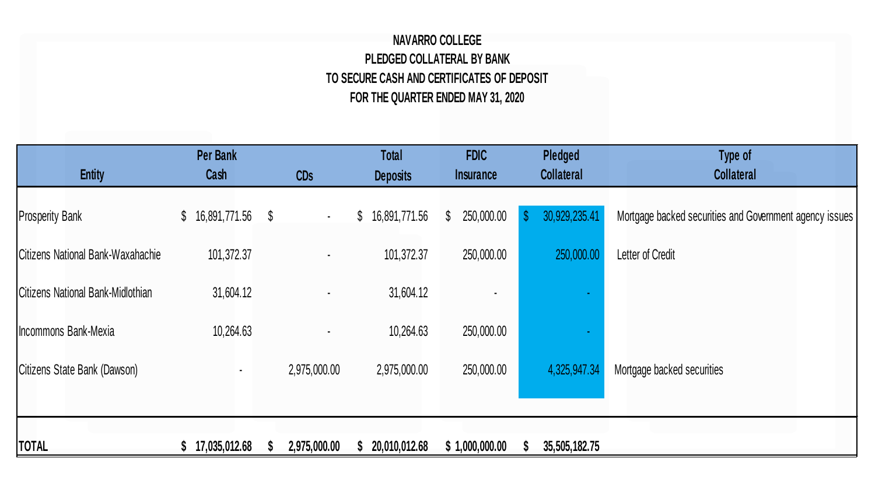## **NAVARRO COLLEGE PLEDGED COLLATERAL BY BANK TO SECURE CASH AND CERTIFICATES OF DEPOSIT FOR THE QUARTER ENDED MAY 31, 2020**

| <b>Entity</b>                     | <b>Per Bank</b><br>Cash | <b>CDs</b>     | <b>Total</b><br><b>Deposits</b> | <b>FDIC</b><br><i><u><b>Insurance</b></u></i> | Pledged<br><b>Collateral</b>  | Type of<br><b>Collateral</b>                            |
|-----------------------------------|-------------------------|----------------|---------------------------------|-----------------------------------------------|-------------------------------|---------------------------------------------------------|
| <b>Prosperity Bank</b>            | $$16,891,771.56$ \\$    | $\bullet$      | 16,891,771.56<br>$\mathbb{S}$   | 250,000.00<br>$\mathbb{S}$                    | 30,929,235.41<br>$\mathbb{S}$ | Mortgage backed securities and Government agency issues |
| Citizens National Bank-Waxahachie | 101,372.37              | ٠              | 101,372.37                      | 250,000.00                                    | 250,000.00                    | Letter of Credit                                        |
| Citizens National Bank-Midlothian | 31,604.12               | $\blacksquare$ | 31,604.12                       |                                               |                               |                                                         |
| Incommons Bank-Mexia              | 10,264.63               |                | 10,264.63                       | 250,000.00                                    |                               |                                                         |
| Citizens State Bank (Dawson)      | $\sim$                  | 2,975,000.00   | 2,975,000.00                    | 250,000.00                                    | 4,325,947.34                  | Mortgage backed securities                              |
|                                   |                         |                |                                 |                                               |                               |                                                         |
| <b>TOTAL</b>                      | 17,035,012.68           | 2,975,000.00   | 20,010,012.68                   | \$1,000,000.00                                | 35,505,182.75<br>эħ.          |                                                         |